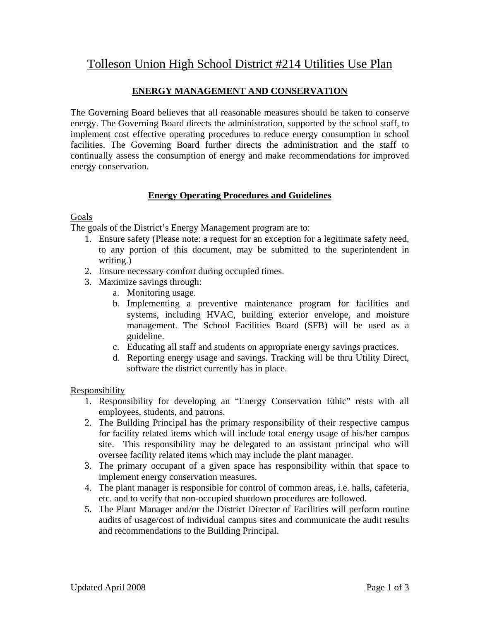# Tolleson Union High School District #214 Utilities Use Plan

# **ENERGY MANAGEMENT AND CONSERVATION**

The Governing Board believes that all reasonable measures should be taken to conserve energy. The Governing Board directs the administration, supported by the school staff, to implement cost effective operating procedures to reduce energy consumption in school facilities. The Governing Board further directs the administration and the staff to continually assess the consumption of energy and make recommendations for improved energy conservation.

## **Energy Operating Procedures and Guidelines**

#### Goals

The goals of the District's Energy Management program are to:

- 1. Ensure safety (Please note: a request for an exception for a legitimate safety need, to any portion of this document, may be submitted to the superintendent in writing.)
- 2. Ensure necessary comfort during occupied times.
- 3. Maximize savings through:
	- a. Monitoring usage.
	- b. Implementing a preventive maintenance program for facilities and systems, including HVAC, building exterior envelope, and moisture management. The School Facilities Board (SFB) will be used as a guideline.
	- c. Educating all staff and students on appropriate energy savings practices.
	- d. Reporting energy usage and savings. Tracking will be thru Utility Direct, software the district currently has in place.

#### Responsibility

- 1. Responsibility for developing an "Energy Conservation Ethic" rests with all employees, students, and patrons.
- 2. The Building Principal has the primary responsibility of their respective campus for facility related items which will include total energy usage of his/her campus site. This responsibility may be delegated to an assistant principal who will oversee facility related items which may include the plant manager.
- 3. The primary occupant of a given space has responsibility within that space to implement energy conservation measures.
- 4. The plant manager is responsible for control of common areas, i.e. halls, cafeteria, etc. and to verify that non-occupied shutdown procedures are followed.
- 5. The Plant Manager and/or the District Director of Facilities will perform routine audits of usage/cost of individual campus sites and communicate the audit results and recommendations to the Building Principal.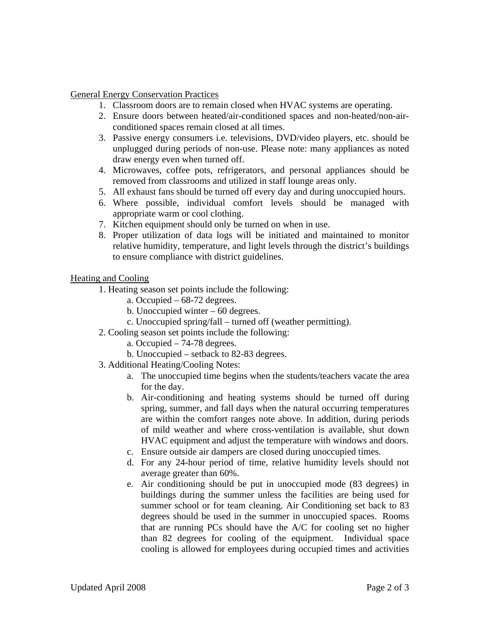#### General Energy Conservation Practices

- 1. Classroom doors are to remain closed when HVAC systems are operating.
- 2. Ensure doors between heated/air-conditioned spaces and non-heated/non-airconditioned spaces remain closed at all times.
- 3. Passive energy consumers i.e. televisions, DVD/video players, etc. should be unplugged during periods of non-use. Please note: many appliances as noted draw energy even when turned off.
- 4. Microwaves, coffee pots, refrigerators, and personal appliances should be removed from classrooms and utilized in staff lounge areas only.
- 5. All exhaust fans should be turned off every day and during unoccupied hours.
- 6. Where possible, individual comfort levels should be managed with appropriate warm or cool clothing.
- 7. Kitchen equipment should only be turned on when in use.
- 8. Proper utilization of data logs will be initiated and maintained to monitor relative humidity, temperature, and light levels through the district's buildings to ensure compliance with district guidelines.

#### Heating and Cooling

- 1. Heating season set points include the following:
	- a. Occupied 68-72 degrees.
	- b. Unoccupied winter 60 degrees.
	- c. Unoccupied spring/fall turned off (weather permitting).
- 2. Cooling season set points include the following:
	- a. Occupied 74-78 degrees.
	- b. Unoccupied setback to 82-83 degrees.
- 3. Additional Heating/Cooling Notes:
	- a. The unoccupied time begins when the students/teachers vacate the area for the day.
	- b. Air-conditioning and heating systems should be turned off during spring, summer, and fall days when the natural occurring temperatures are within the comfort ranges note above. In addition, during periods of mild weather and where cross-ventilation is available, shut down HVAC equipment and adjust the temperature with windows and doors.
	- c. Ensure outside air dampers are closed during unoccupied times.
	- d. For any 24-hour period of time, relative humidity levels should not average greater than 60%.
	- e. Air conditioning should be put in unoccupied mode (83 degrees) in buildings during the summer unless the facilities are being used for summer school or for team cleaning. Air Conditioning set back to 83 degrees should be used in the summer in unoccupied spaces. Rooms that are running PCs should have the A/C for cooling set no higher than 82 degrees for cooling of the equipment. Individual space cooling is allowed for employees during occupied times and activities